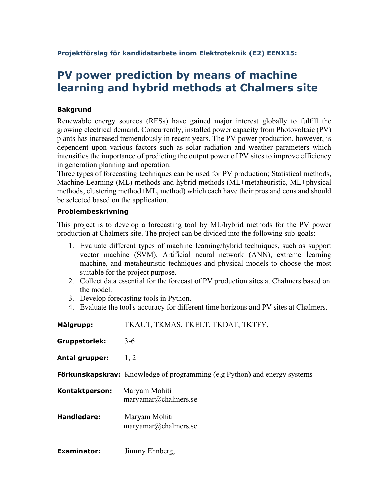Projektförslag för kandidatarbete inom Elektroteknik (E2) EENX15:

## PV power prediction by means of machine learning and hybrid methods at Chalmers site

## Bakgrund

Renewable energy sources (RESs) have gained major interest globally to fulfill the growing electrical demand. Concurrently, installed power capacity from Photovoltaic (PV) plants has increased tremendously in recent years. The PV power production, however, is dependent upon various factors such as solar radiation and weather parameters which intensifies the importance of predicting the output power of PV sites to improve efficiency in generation planning and operation.

Three types of forecasting techniques can be used for PV production; Statistical methods, Machine Learning (ML) methods and hybrid methods (ML+metaheuristic, ML+physical methods, clustering method+ML, method) which each have their pros and cons and should be selected based on the application.

## Problembeskrivning

This project is to develop a forecasting tool by ML/hybrid methods for the PV power production at Chalmers site. The project can be divided into the following sub-goals:

- 1. Evaluate different types of machine learning/hybrid techniques, such as support vector machine (SVM), Artificial neural network (ANN), extreme learning machine, and metaheuristic techniques and physical models to choose the most suitable for the project purpose.
- 2. Collect data essential for the forecast of PV production sites at Chalmers based on the model.
- 3. Develop forecasting tools in Python.
- 4. Evaluate the tool's accuracy for different time horizons and PV sites at Chalmers.

| Målgrupp:            | TKAUT, TKMAS, TKELT, TKDAT, TKTFY,                                               |
|----------------------|----------------------------------------------------------------------------------|
| <b>Gruppstorlek:</b> | $3-6$                                                                            |
| Antal grupper:       | 1, 2                                                                             |
|                      | <b>Förkunskapskrav:</b> Knowledge of programming (e.g Python) and energy systems |
| Kontaktperson:       | Maryam Mohiti<br>maryamar@chalmers.se                                            |
| Handledare:          | Maryam Mohiti<br>maryamar@chalmers.se                                            |
| <b>Examinator:</b>   | Jimmy Ehnberg,                                                                   |